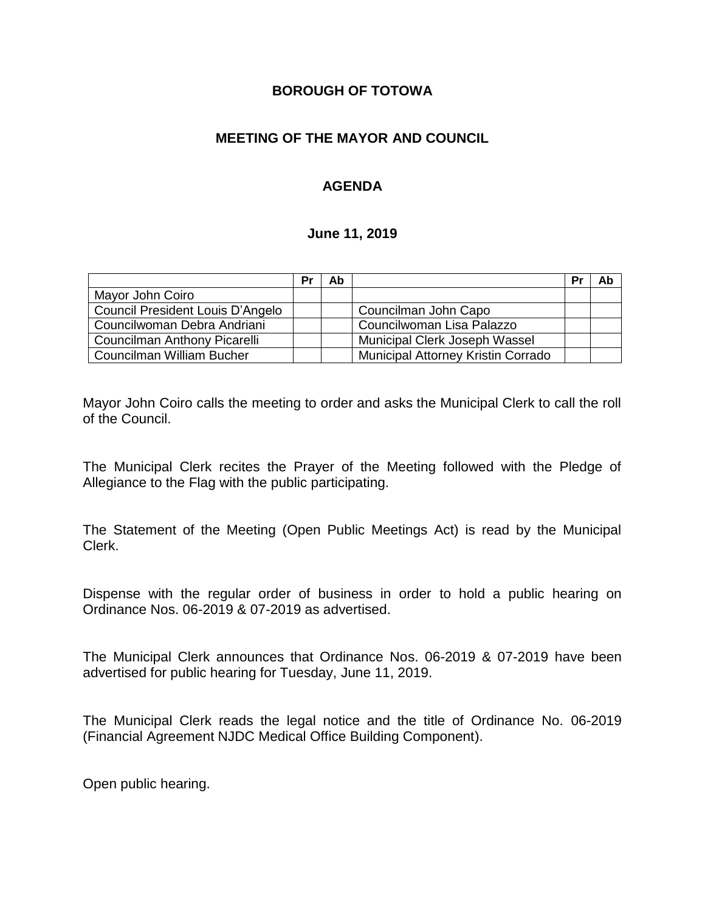### **BOROUGH OF TOTOWA**

## **MEETING OF THE MAYOR AND COUNCIL**

## **AGENDA**

#### **June 11, 2019**

|                                  | Pr | Ab |                                    | Pr | Ab |
|----------------------------------|----|----|------------------------------------|----|----|
| Mayor John Coiro                 |    |    |                                    |    |    |
| Council President Louis D'Angelo |    |    | Councilman John Capo               |    |    |
| Councilwoman Debra Andriani      |    |    | Councilwoman Lisa Palazzo          |    |    |
| Councilman Anthony Picarelli     |    |    | Municipal Clerk Joseph Wassel      |    |    |
| Councilman William Bucher        |    |    | Municipal Attorney Kristin Corrado |    |    |

Mayor John Coiro calls the meeting to order and asks the Municipal Clerk to call the roll of the Council.

The Municipal Clerk recites the Prayer of the Meeting followed with the Pledge of Allegiance to the Flag with the public participating.

The Statement of the Meeting (Open Public Meetings Act) is read by the Municipal Clerk.

Dispense with the regular order of business in order to hold a public hearing on Ordinance Nos. 06-2019 & 07-2019 as advertised.

The Municipal Clerk announces that Ordinance Nos. 06-2019 & 07-2019 have been advertised for public hearing for Tuesday, June 11, 2019.

The Municipal Clerk reads the legal notice and the title of Ordinance No. 06-2019 (Financial Agreement NJDC Medical Office Building Component).

Open public hearing.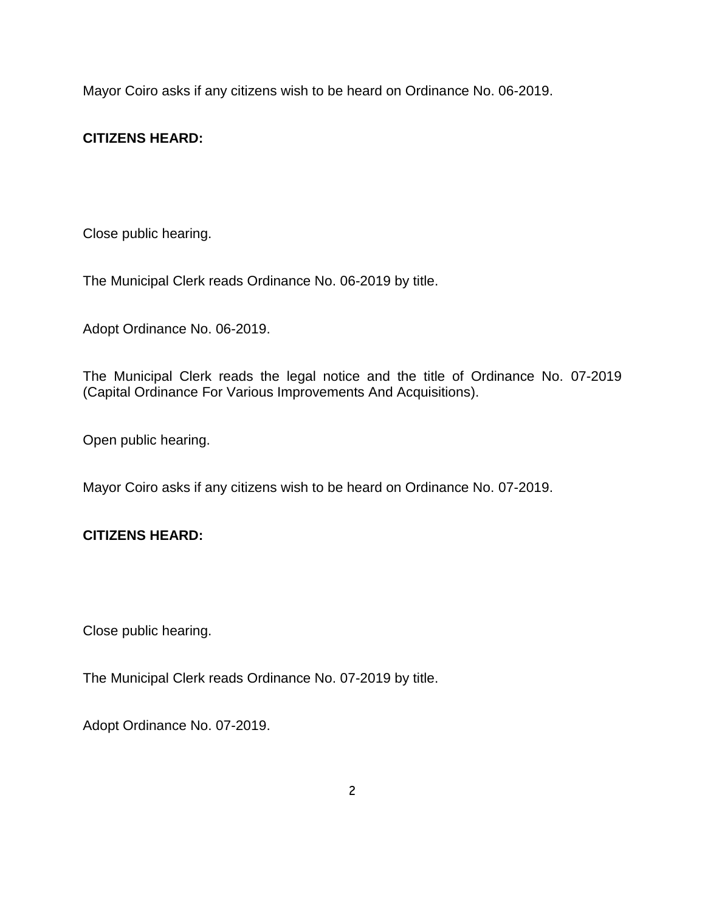Mayor Coiro asks if any citizens wish to be heard on Ordinance No. 06-2019.

## **CITIZENS HEARD:**

Close public hearing.

The Municipal Clerk reads Ordinance No. 06-2019 by title.

Adopt Ordinance No. 06-2019.

The Municipal Clerk reads the legal notice and the title of Ordinance No. 07-2019 (Capital Ordinance For Various Improvements And Acquisitions).

Open public hearing.

Mayor Coiro asks if any citizens wish to be heard on Ordinance No. 07-2019.

## **CITIZENS HEARD:**

Close public hearing.

The Municipal Clerk reads Ordinance No. 07-2019 by title.

Adopt Ordinance No. 07-2019.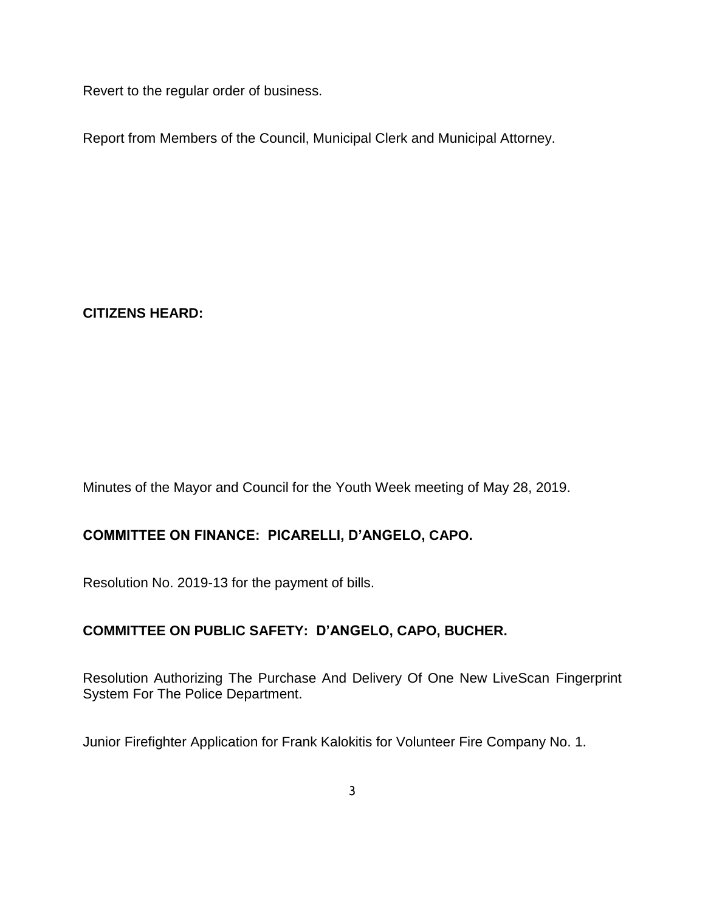Revert to the regular order of business.

Report from Members of the Council, Municipal Clerk and Municipal Attorney.

**CITIZENS HEARD:**

Minutes of the Mayor and Council for the Youth Week meeting of May 28, 2019.

# **COMMITTEE ON FINANCE: PICARELLI, D'ANGELO, CAPO.**

Resolution No. 2019-13 for the payment of bills.

## **COMMITTEE ON PUBLIC SAFETY: D'ANGELO, CAPO, BUCHER.**

Resolution Authorizing The Purchase And Delivery Of One New LiveScan Fingerprint System For The Police Department.

Junior Firefighter Application for Frank Kalokitis for Volunteer Fire Company No. 1.